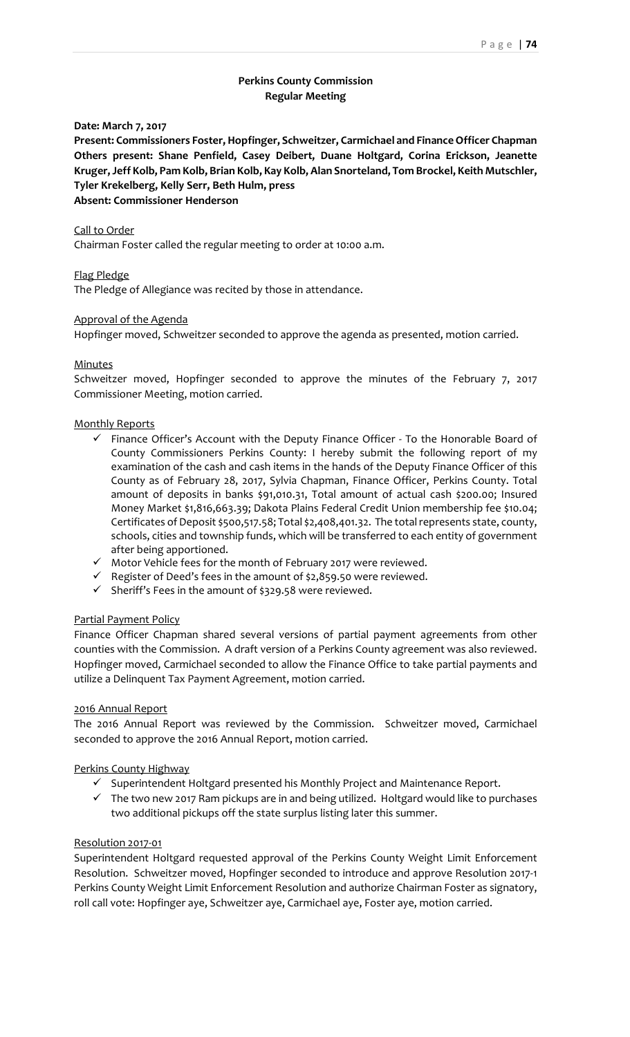# **Perkins County Commission Regular Meeting**

**Date: March 7, 2017**

**Present: Commissioners Foster, Hopfinger, Schweitzer, Carmichael and FinanceOfficer Chapman Others present: Shane Penfield, Casey Deibert, Duane Holtgard, Corina Erickson, Jeanette Kruger,Jeff Kolb, Pam Kolb, Brian Kolb, Kay Kolb, Alan Snorteland, Tom Brockel, Keith Mutschler, Tyler Krekelberg, Kelly Serr, Beth Hulm, press Absent: Commissioner Henderson**

### Call to Order

Chairman Foster called the regular meeting to order at 10:00 a.m.

Flag Pledge

The Pledge of Allegiance was recited by those in attendance.

#### Approval of the Agenda

Hopfinger moved, Schweitzer seconded to approve the agenda as presented, motion carried.

#### Minutes

Schweitzer moved, Hopfinger seconded to approve the minutes of the February 7, 2017 Commissioner Meeting, motion carried.

#### Monthly Reports

- $\checkmark$  Finance Officer's Account with the Deputy Finance Officer To the Honorable Board of County Commissioners Perkins County: I hereby submit the following report of my examination of the cash and cash items in the hands of the Deputy Finance Officer of this County as of February 28, 2017, Sylvia Chapman, Finance Officer, Perkins County. Total amount of deposits in banks \$91,010.31, Total amount of actual cash \$200.00; Insured Money Market \$1,816,663.39; Dakota Plains Federal Credit Union membership fee \$10.04; Certificates of Deposit \$500,517.58; Total \$2,408,401.32. The totalrepresents state, county, schools, cities and township funds, which will be transferred to each entity of government after being apportioned.
- $\checkmark$  Motor Vehicle fees for the month of February 2017 were reviewed.
- $\checkmark$  Register of Deed's fees in the amount of \$2,859.50 were reviewed.
- $\checkmark$  Sheriff's Fees in the amount of \$329.58 were reviewed.

#### Partial Payment Policy

Finance Officer Chapman shared several versions of partial payment agreements from other counties with the Commission. A draft version of a Perkins County agreement was also reviewed. Hopfinger moved, Carmichael seconded to allow the Finance Office to take partial payments and utilize a Delinquent Tax Payment Agreement, motion carried.

#### 2016 Annual Report

The 2016 Annual Report was reviewed by the Commission. Schweitzer moved, Carmichael seconded to approve the 2016 Annual Report, motion carried.

#### Perkins County Highway

- $\checkmark$  Superintendent Holtgard presented his Monthly Project and Maintenance Report.
- $\checkmark$  The two new 2017 Ram pickups are in and being utilized. Holtgard would like to purchases two additional pickups off the state surplus listing later this summer.

#### Resolution 2017‐01

Superintendent Holtgard requested approval of the Perkins County Weight Limit Enforcement Resolution. Schweitzer moved, Hopfinger seconded to introduce and approve Resolution 2017‐1 Perkins County Weight Limit Enforcement Resolution and authorize Chairman Foster as signatory, roll call vote: Hopfinger aye, Schweitzer aye, Carmichael aye, Foster aye, motion carried.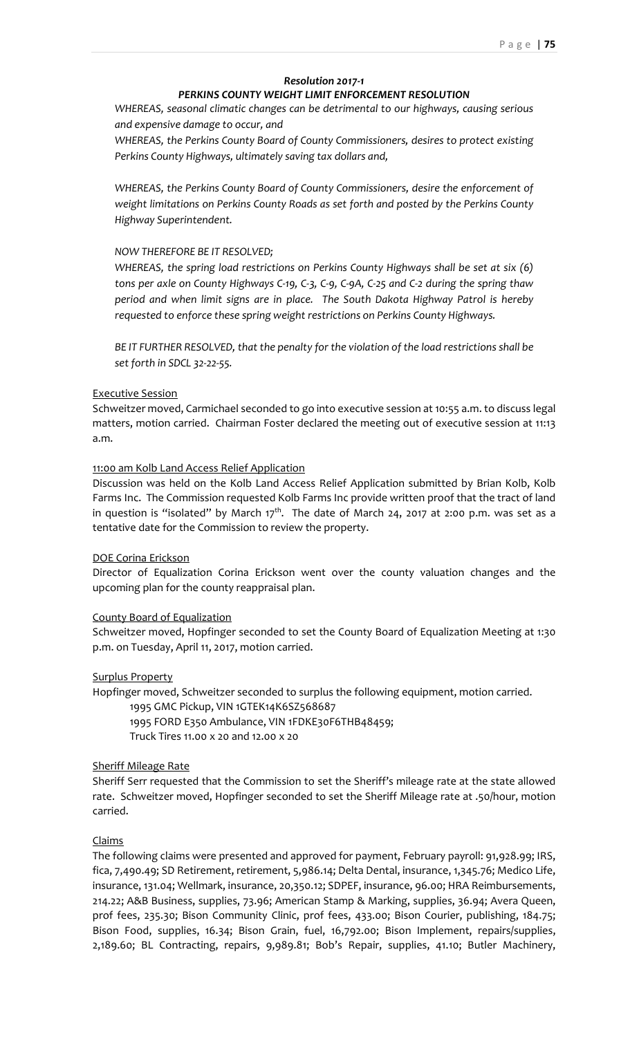# *Resolution 2017‐1*

### *PERKINS COUNTY WEIGHT LIMIT ENFORCEMENT RESOLUTION*

*WHEREAS, seasonal climatic changes can be detrimental to our highways, causing serious and expensive damage to occur, and*

*WHEREAS, the Perkins County Board of County Commissioners, desires to protect existing Perkins County Highways, ultimately saving tax dollars and,*

*WHEREAS, the Perkins County Board of County Commissioners, desire the enforcement of weight limitations on Perkins County Roads as set forth and posted by the Perkins County Highway Superintendent.*

### *NOW THEREFORE BE IT RESOLVED;*

*WHEREAS, the spring load restrictions on Perkins County Highways shall be set at six (6)* tons per axle on County Highways C-19, C-3, C-9, C-9A, C-25 and C-2 during the spring thaw *period and when limit signs are in place. The South Dakota Highway Patrol is hereby requested to enforce these spring weight restrictions on Perkins County Highways.*

*BE IT FURTHER RESOLVED, that the penalty for the violation of the load restrictions shall be set forth in SDCL 32‐22‐55.*

### Executive Session

Schweitzer moved, Carmichael seconded to go into executive session at 10:55 a.m. to discuss legal matters, motion carried. Chairman Foster declared the meeting out of executive session at 11:13 a.m.

### 11:00 am Kolb Land Access Relief Application

Discussion was held on the Kolb Land Access Relief Application submitted by Brian Kolb, Kolb Farms Inc. The Commission requested Kolb Farms Inc provide written proof that the tract of land in question is "isolated" by March  $17<sup>th</sup>$ . The date of March 24, 2017 at 2:00 p.m. was set as a tentative date for the Commission to review the property.

#### DOE Corina Erickson

Director of Equalization Corina Erickson went over the county valuation changes and the upcoming plan for the county reappraisal plan.

#### County Board of Equalization

Schweitzer moved, Hopfinger seconded to set the County Board of Equalization Meeting at 1:30 p.m. on Tuesday, April 11, 2017, motion carried.

# Surplus Property

Hopfinger moved, Schweitzer seconded to surplus the following equipment, motion carried.

1995 GMC Pickup, VIN 1GTEK14K6SZ568687

1995 FORD E350 Ambulance, VIN 1FDKE30F6THB48459;

Truck Tires 11.00 x 20 and 12.00 x 20

#### Sheriff Mileage Rate

Sheriff Serr requested that the Commission to set the Sheriff's mileage rate at the state allowed rate. Schweitzer moved, Hopfinger seconded to set the Sheriff Mileage rate at .50/hour, motion carried.

## Claims

The following claims were presented and approved for payment, February payroll: 91,928.99; IRS, fica, 7,490.49; SD Retirement, retirement, 5,986.14; Delta Dental, insurance, 1,345.76; Medico Life, insurance, 131.04; Wellmark, insurance, 20,350.12; SDPEF, insurance, 96.00; HRA Reimbursements, 214.22; A&B Business, supplies, 73.96; American Stamp & Marking, supplies, 36.94; Avera Queen, prof fees, 235.30; Bison Community Clinic, prof fees, 433.00; Bison Courier, publishing, 184.75; Bison Food, supplies, 16.34; Bison Grain, fuel, 16,792.00; Bison Implement, repairs/supplies, 2,189.60; BL Contracting, repairs, 9,989.81; Bob's Repair, supplies, 41.10; Butler Machinery,